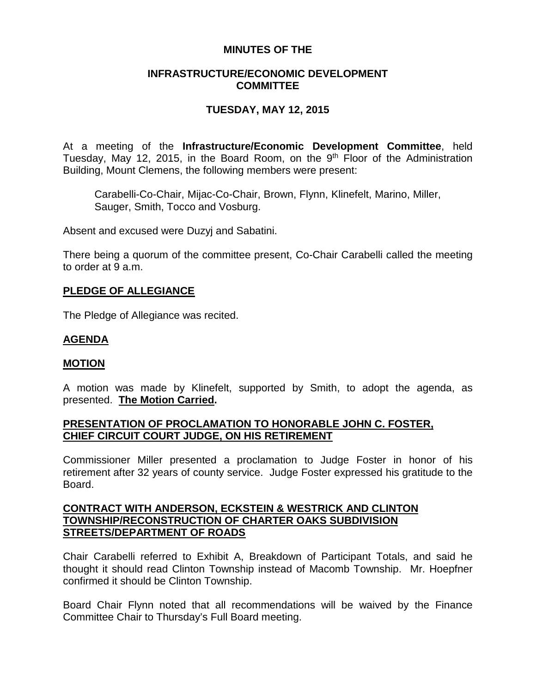# **MINUTES OF THE**

# **INFRASTRUCTURE/ECONOMIC DEVELOPMENT COMMITTEE**

# **TUESDAY, MAY 12, 2015**

At a meeting of the **Infrastructure/Economic Development Committee**, held Tuesday, May 12, 2015, in the Board Room, on the 9<sup>th</sup> Floor of the Administration Building, Mount Clemens, the following members were present:

Carabelli-Co-Chair, Mijac-Co-Chair, Brown, Flynn, Klinefelt, Marino, Miller, Sauger, Smith, Tocco and Vosburg.

Absent and excused were Duzyj and Sabatini.

There being a quorum of the committee present, Co-Chair Carabelli called the meeting to order at 9 a.m.

# **PLEDGE OF ALLEGIANCE**

The Pledge of Allegiance was recited.

# **AGENDA**

#### **MOTION**

A motion was made by Klinefelt, supported by Smith, to adopt the agenda, as presented. **The Motion Carried.**

# **PRESENTATION OF PROCLAMATION TO HONORABLE JOHN C. FOSTER, CHIEF CIRCUIT COURT JUDGE, ON HIS RETIREMENT**

Commissioner Miller presented a proclamation to Judge Foster in honor of his retirement after 32 years of county service. Judge Foster expressed his gratitude to the Board.

# **CONTRACT WITH ANDERSON, ECKSTEIN & WESTRICK AND CLINTON TOWNSHIP/RECONSTRUCTION OF CHARTER OAKS SUBDIVISION STREETS/DEPARTMENT OF ROADS**

Chair Carabelli referred to Exhibit A, Breakdown of Participant Totals, and said he thought it should read Clinton Township instead of Macomb Township. Mr. Hoepfner confirmed it should be Clinton Township.

Board Chair Flynn noted that all recommendations will be waived by the Finance Committee Chair to Thursday's Full Board meeting.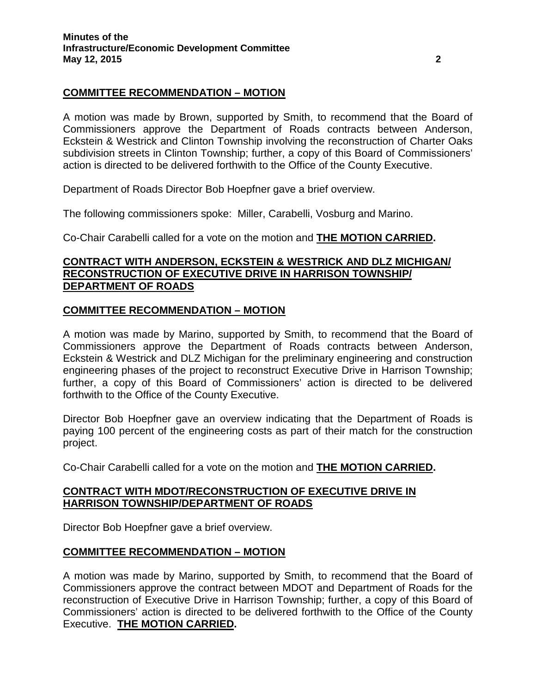# **COMMITTEE RECOMMENDATION – MOTION**

A motion was made by Brown, supported by Smith, to recommend that the Board of Commissioners approve the Department of Roads contracts between Anderson, Eckstein & Westrick and Clinton Township involving the reconstruction of Charter Oaks subdivision streets in Clinton Township; further, a copy of this Board of Commissioners' action is directed to be delivered forthwith to the Office of the County Executive.

Department of Roads Director Bob Hoepfner gave a brief overview.

The following commissioners spoke: Miller, Carabelli, Vosburg and Marino.

Co-Chair Carabelli called for a vote on the motion and **THE MOTION CARRIED.**

### **CONTRACT WITH ANDERSON, ECKSTEIN & WESTRICK AND DLZ MICHIGAN/ RECONSTRUCTION OF EXECUTIVE DRIVE IN HARRISON TOWNSHIP/ DEPARTMENT OF ROADS**

#### **COMMITTEE RECOMMENDATION – MOTION**

A motion was made by Marino, supported by Smith, to recommend that the Board of Commissioners approve the Department of Roads contracts between Anderson, Eckstein & Westrick and DLZ Michigan for the preliminary engineering and construction engineering phases of the project to reconstruct Executive Drive in Harrison Township; further, a copy of this Board of Commissioners' action is directed to be delivered forthwith to the Office of the County Executive.

Director Bob Hoepfner gave an overview indicating that the Department of Roads is paying 100 percent of the engineering costs as part of their match for the construction project.

Co-Chair Carabelli called for a vote on the motion and **THE MOTION CARRIED.**

# **CONTRACT WITH MDOT/RECONSTRUCTION OF EXECUTIVE DRIVE IN HARRISON TOWNSHIP/DEPARTMENT OF ROADS**

Director Bob Hoepfner gave a brief overview.

#### **COMMITTEE RECOMMENDATION – MOTION**

A motion was made by Marino, supported by Smith, to recommend that the Board of Commissioners approve the contract between MDOT and Department of Roads for the reconstruction of Executive Drive in Harrison Township; further, a copy of this Board of Commissioners' action is directed to be delivered forthwith to the Office of the County Executive. **THE MOTION CARRIED.**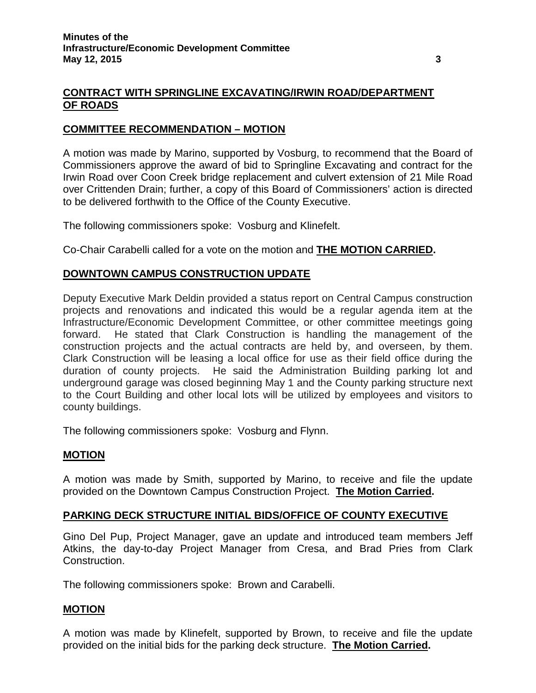# **CONTRACT WITH SPRINGLINE EXCAVATING/IRWIN ROAD/DEPARTMENT OF ROADS**

# **COMMITTEE RECOMMENDATION – MOTION**

A motion was made by Marino, supported by Vosburg, to recommend that the Board of Commissioners approve the award of bid to Springline Excavating and contract for the Irwin Road over Coon Creek bridge replacement and culvert extension of 21 Mile Road over Crittenden Drain; further, a copy of this Board of Commissioners' action is directed to be delivered forthwith to the Office of the County Executive.

The following commissioners spoke: Vosburg and Klinefelt.

Co-Chair Carabelli called for a vote on the motion and **THE MOTION CARRIED.**

#### **DOWNTOWN CAMPUS CONSTRUCTION UPDATE**

Deputy Executive Mark Deldin provided a status report on Central Campus construction projects and renovations and indicated this would be a regular agenda item at the Infrastructure/Economic Development Committee, or other committee meetings going forward. He stated that Clark Construction is handling the management of the construction projects and the actual contracts are held by, and overseen, by them. Clark Construction will be leasing a local office for use as their field office during the duration of county projects. He said the Administration Building parking lot and underground garage was closed beginning May 1 and the County parking structure next to the Court Building and other local lots will be utilized by employees and visitors to county buildings.

The following commissioners spoke: Vosburg and Flynn.

#### **MOTION**

A motion was made by Smith, supported by Marino, to receive and file the update provided on the Downtown Campus Construction Project. **The Motion Carried.**

#### **PARKING DECK STRUCTURE INITIAL BIDS/OFFICE OF COUNTY EXECUTIVE**

Gino Del Pup, Project Manager, gave an update and introduced team members Jeff Atkins, the day-to-day Project Manager from Cresa, and Brad Pries from Clark Construction.

The following commissioners spoke: Brown and Carabelli.

#### **MOTION**

A motion was made by Klinefelt, supported by Brown, to receive and file the update provided on the initial bids for the parking deck structure. **The Motion Carried.**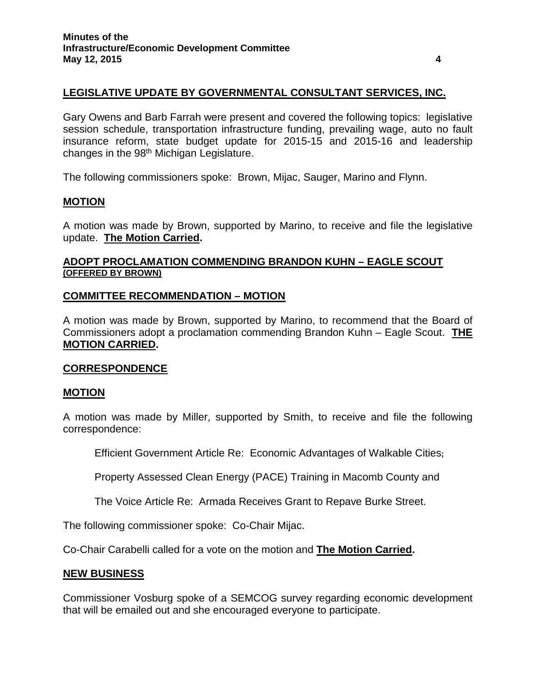# **LEGISLATIVE UPDATE BY GOVERNMENTAL CONSULTANT SERVICES, INC.**

Gary Owens and Barb Farrah were present and covered the following topics: legislative session schedule, transportation infrastructure funding, prevailing wage, auto no fault insurance reform, state budget update for 2015-15 and 2015-16 and leadership changes in the 98<sup>th</sup> Michigan Legislature.

The following commissioners spoke: Brown, Mijac, Sauger, Marino and Flynn.

# **MOTION**

A motion was made by Brown, supported by Marino, to receive and file the legislative update. **The Motion Carried.**

### **ADOPT PROCLAMATION COMMENDING BRANDON KUHN – EAGLE SCOUT (OFFERED BY BROWN)**

# **COMMITTEE RECOMMENDATION – MOTION**

A motion was made by Brown, supported by Marino, to recommend that the Board of Commissioners adopt a proclamation commending Brandon Kuhn – Eagle Scout. **THE MOTION CARRIED.**

#### **CORRESPONDENCE**

#### **MOTION**

A motion was made by Miller, supported by Smith, to receive and file the following correspondence:

Efficient Government Article Re: Economic Advantages of Walkable Cities**;**

Property Assessed Clean Energy (PACE) Training in Macomb County and

The Voice Article Re: Armada Receives Grant to Repave Burke Street.

The following commissioner spoke: Co-Chair Mijac.

Co-Chair Carabelli called for a vote on the motion and **The Motion Carried.**

#### **NEW BUSINESS**

Commissioner Vosburg spoke of a SEMCOG survey regarding economic development that will be emailed out and she encouraged everyone to participate.